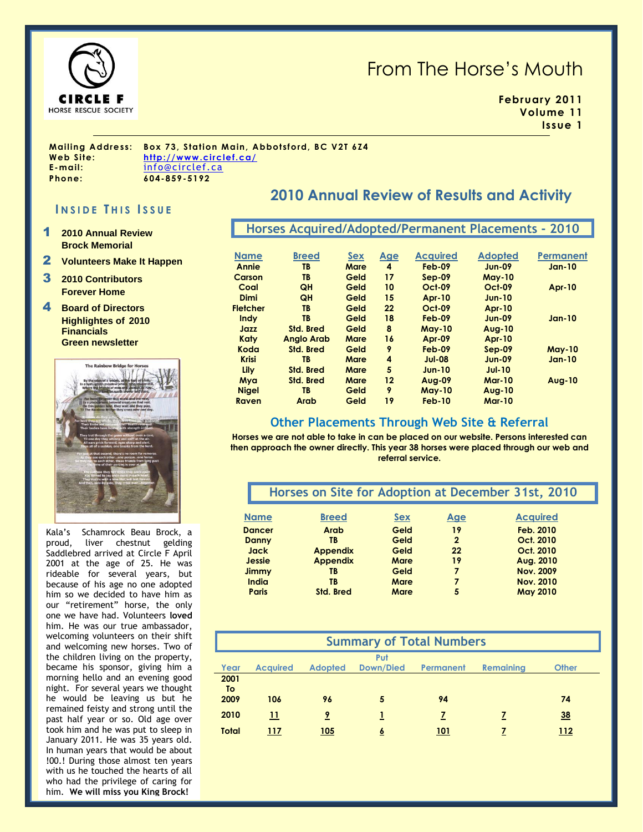

# From The Horse's Mouth

**February 2011 Volume 11 Issue 1**

**Mailing Address: Box 73, Station Main, Abbotsford, BC V2T 6Z4 Web Site: <http://www.circlef.ca/> E-mail:** [info@circlef.ca](mailto:info@circlef.ca) **Phone: 604-859-5192**

#### **I N S I D E T H I S I S S U E**

- 1 **2010 Annual Review Brock Memorial**
- 2 **Volunteers Make It Happen**
- 3 **2010 Contributors Forever Home**
- 4 **Board of Directors Highlightes of 2010 Financials Green newsletter**



Kala's Schamrock Beau Brock, a proud, liver chestnut gelding Saddlebred arrived at Circle F April 2001 at the age of 25. He was rideable for several years, but because of his age no one adopted him so we decided to have him as our "retirement" horse, the only one we have had. Volunteers **loved** him. He was our true ambassador, welcoming volunteers on their shift and welcoming new horses. Two of the children living on the property, became his sponsor, giving him a morning hello and an evening good night. For several years we thought he would be leaving us but he remained feisty and strong until the past half year or so. Old age over took him and he was put to sleep in January 2011. He was 35 years old. In human years that would be about !00.! During those almost ten years with us he touched the hearts of all who had the privilege of caring for him. **We will miss you King Brock!**

## **2010 Annual Review of Results and Activity**

**Name Breed Sex Age Acquired Adopted Permanent Annie TB Mare 4 Feb-09 Jun-09 Jan-10 Carson TB Geld 17 Sep-09 May-10 Coal QH Geld 10 Oct-09 Oct-09 Apr-10 Dimi QH Geld 15 Apr-10 Jun-10 Fletcher TB Geld 22 Oct-09 Apr-10 Indy TB Geld 18 Feb-09 Jun-09 Jan-10 Jazz Std. Bred Geld 8 May-10 Aug-10 Katy Anglo Arab Mare 16 Apr-09 Apr-10 Koda Std. Bred Geld 9 Feb-09 Sep-09 May-10 Krisi TB Mare 4 Jul-08 Jun-09 Jan-10 Lily Std. Bred Mare 5 Jun-10 Jul-10 Mya Std. Bred Mare 12 Aug-09 Mar-10 Aug-10 Nigel TB Geld 9 May-10 Aug-10 Raven Arab Geld** 19 **Feb-10 Horses Acquired/Adopted/Permanent Placements - 2010**

#### **Other Placements Through Web Site & Referral**

**Horses we are not able to take in can be placed on our website. Persons interested can then approach the owner directly. This year 38 horses were placed through our web and referral service.**

#### **Horses on Site for Adoption at December 31st, 2010**

| <b>Name</b>   | <b>Breed</b>    | <b>Sex</b>  | Age          | <b>Acquired</b>  |
|---------------|-----------------|-------------|--------------|------------------|
| <b>Dancer</b> | Arab            | Geld        | 19           | <b>Feb. 2010</b> |
| Danny         | TB              | Geld        | $\mathbf{2}$ | Oct. 2010        |
| <b>Jack</b>   | <b>Appendix</b> | Geld        | 22           | Oct. 2010        |
| <b>Jessie</b> | <b>Appendix</b> | <b>Mare</b> | 19           | Aug. 2010        |
| Jimmy         | TB              | Geld        | 7            | <b>Nov. 2009</b> |
| India         | TB              | <b>Mare</b> | 7            | Nov. 2010        |
| <b>Paris</b>  | Std. Bred       | <b>Mare</b> | 5            | <b>May 2010</b>  |

|                    | <b>Summary of Total Numbers</b> |                |                  |                |                  |                |  |
|--------------------|---------------------------------|----------------|------------------|----------------|------------------|----------------|--|
|                    |                                 |                | Put              |                |                  |                |  |
| Year               | <b>Acquired</b>                 | <b>Adopted</b> | <b>Down/Died</b> | Permanent      | <b>Remaining</b> | <b>Other</b>   |  |
| 2001<br>To<br>2009 | 106                             | 96             | 5                | 94             |                  | 74             |  |
| 2010               | <u> 11</u>                      |                |                  | $\overline{z}$ |                  | $\frac{38}{2}$ |  |
| <b>Total</b>       | 117                             | 105            | 6                | 101            |                  | 112            |  |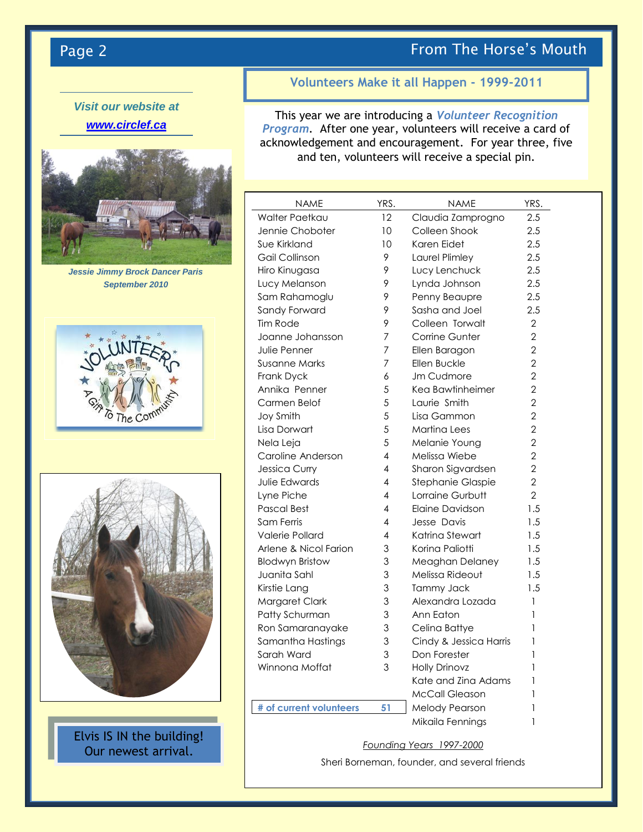## Page 2 From The Horse's Mouth



*Jessie Jimmy Brock Dancer Paris September 2010*





Elvis IS IN the building! Our newest arrival.

### **Volunteers Make it all Happen - 1999-2011**

This year we are introducing a *Volunteer Recognition Program*. After one year, volunteers will receive a card of acknowledgement and encouragement. For year three, five and ten, volunteers will receive a special pin.

| <b>NAME</b>             | YRS.            | NAME                   | YRS.           |
|-------------------------|-----------------|------------------------|----------------|
| Walter Paetkau          | 12              | Claudia Zamprogno      | 2.5            |
| Jennie Choboter         | 10              | Colleen Shook          | 2.5            |
| Sue Kirkland            | 10 <sup>°</sup> | Karen Eidet            | 2.5            |
| Gail Collinson          | 9               | Laurel Plimley         | 2.5            |
| Hiro Kinugasa           | 9               | Lucy Lenchuck          | 2.5            |
| Lucy Melanson           | 9               | Lynda Johnson          | 2.5            |
| Sam Rahamoglu           | 9               | Penny Beaupre          | 2.5            |
| Sandy Forward           | 9               | Sasha and Joel         | 2.5            |
| <b>Tim Rode</b>         | 9               | Colleen Torwalt        | $\overline{2}$ |
| Joanne Johansson        | 7               | Corrine Gunter         | $\overline{2}$ |
| Julie Penner            | 7               | Ellen Baragon          | $\overline{2}$ |
| Susanne Marks           | 7               | Ellen Buckle           | $\overline{2}$ |
| Frank Dyck              | 6               | Jm Cudmore             | $\overline{2}$ |
| Annika Penner           | 5               | Kea Bawtinheimer       | $\overline{2}$ |
| Carmen Belof            | 5               | Laurie Smith           | $\overline{2}$ |
| Joy Smith               | 5               | Lisa Gammon            | $\overline{2}$ |
| Lisa Dorwart            | 5               | Martina Lees           | $\overline{2}$ |
| Nela Leja               | 5               | Melanie Young          | $\overline{2}$ |
| Caroline Anderson       | 4               | Melissa Wiebe          | $\overline{2}$ |
| <b>Jessica Curry</b>    | 4               | Sharon Sigvardsen      | $\overline{2}$ |
| Julie Edwards           | 4               | Stephanie Glaspie      | $\overline{2}$ |
| Lyne Piche              | 4               | Lorraine Gurbutt       | $\overline{2}$ |
| Pascal Best             | 4               | Elaine Davidson        | 1.5            |
| Sam Ferris              | 4               | Jesse Davis            | 1.5            |
| Valerie Pollard         | 4               | Katrina Stewart        | 1.5            |
| Arlene & Nicol Farion   | 3               | Korina Paliotti        | 1.5            |
| <b>Blodwyn Bristow</b>  | 3               | Meaghan Delaney        | 1.5            |
| Juanita Sahl            | 3               | Melissa Rideout        | 1.5            |
| Kirstie Lang            | 3               | Tammy Jack             | 1.5            |
| Margaret Clark          | 3               | Alexandra Lozada       | 1              |
| Patty Schurman          | 3               | Ann Eaton              | 1              |
| Ron Samaranayake        | 3               | Celina Battye          | 1              |
| Samantha Hastings       | 3               | Cindy & Jessica Harris | 1              |
| Sarah Ward              | 3               | Don Forester           | 1              |
| Winnona Moffat          | 3               | <b>Holly Drinovz</b>   | $\mathbf{1}$   |
|                         |                 | Kate and Zina Adams    | 1              |
|                         |                 | <b>McCall Gleason</b>  | 1              |
| # of current volunteers | 51              | Melody Pearson         | 1              |
|                         |                 | Mikaila Fennings       | 1              |

*Founding Years 1997-2000*

Sheri Borneman, founder, and several friends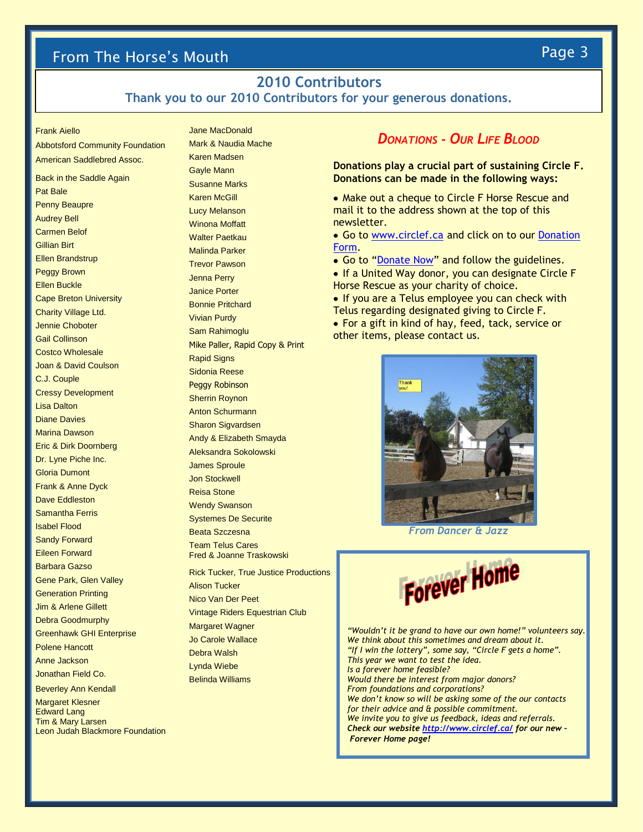## From The Horse's Mouth Page 3

## **2010 Contributors**

**Thank you to our 2010 Contributors for your generous donations.**

#### Frank Aiello

Abbotsford Community Foundation American Saddlebred Assoc. Back in the Saddle Again Pat Bale Penny Beaupre Audrey Bell Carmen Belof Gillian Birt Ellen Brandstrup Peggy Brown Ellen Buckle Cape Breton University Charity Village Ltd. Jennie Choboter Gail Collinson Costco Wholesale Joan & David Coulson C.J. Couple Cressy Development Lisa Dalton Diane Davies Marina Dawson Eric & Dirk Doornberg Dr. Lyne Piche Inc. Gloria Dumont Frank & Anne Dyck Dave Eddleston Samantha Ferris Isabel Flood Sandy Forward Eileen Forward Barbara Gazso Gene Park, Glen Valley Generation Printing Jim & Arlene Gillett Debra Goodmurphy Greenhawk GHI Enterprise Polene Hancott Anne Jackson Jonathan Field Co. Beverley Ann Kendall **Margaret Klesner** 

Edward Lang Tim & Mary Larsen Leon Judah Blackmore Foundation Jane MacDonald Mark & Naudia Mache Karen Madsen Gayle Mann Susanne Marks Karen McGill Lucy Melanson Winona Moffatt Walter Paetkau Malinda Parker Trevor Pawson Jenna Perry Janice Porter Bonnie Pritchard Vivian Purdy Sam Rahimoglu Mike Paller, Rapid Copy & Print Rapid Signs Sidonia Reese Peggy Robinson Sherrin Roynon Anton Schurmann Sharon Sigvardsen Andy & Elizabeth Smayda Aleksandra Sokolowski James Sproule Jon Stockwell Reisa Stone Wendy Swanson Systemes De Securite Beata Szczesna Team Telus Cares Fred & Joanne Traskowski Rick Tucker, True Justice Productions Alison Tucker Nico Van Der Peet Vintage Riders Equestrian Club Margaret Wagner Jo Carole Wallace Debra Walsh Lynda Wiebe Belinda Williams

### *DONATIONS - OUR LIFE BLOOD*

**Donations play a crucial part of sustaining Circle F. Donations can be made in the following ways:**

• Make out a cheque to Circle F Horse Rescue and mail it to the address shown at the top of this newsletter.

**Go to [www.circlef.ca](http://www.circlef.ca/) and click on to our Donation** [Form.](http://www.circlef.ca/Circle%20F%20Donation%20Form.pdf)

• Go to "[Donate Now](https://www.canadahelps.org/DonationDetails.aspx?cookieCheck=true)" and follow the guidelines.

• If a United Way donor, you can designate Circle F Horse Rescue as your charity of choice.

• If you are a Telus employee you can check with Telus regarding designated giving to Circle F.

For a gift in kind of hay, feed, tack, service or other items, please contact us.



*From Dancer & Jazz*



*"Wouldn't it be grand to have our own home!" volunteers say. We think about this sometimes and dream about it. "If I win the lottery", some say, "Circle F gets a home". This year we want to test the idea. Is a forever home feasible? Would there be interest from major donors? From foundations and corporations? We don't know so will be asking some of the our contacts for their advice and & possible commitment. We invite you to give us feedback, ideas and referrals. Check our websit[e http://www.circlef.ca/](http://www.circlef.ca/) for our new – Forever Home page!*